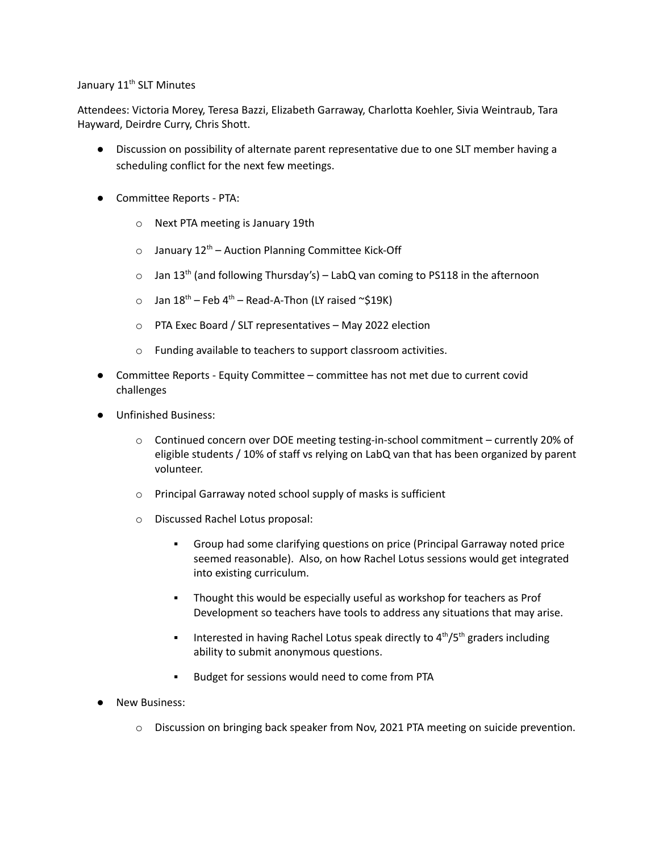## January 11<sup>th</sup> SLT Minutes

Attendees: Victoria Morey, Teresa Bazzi, Elizabeth Garraway, Charlotta Koehler, Sivia Weintraub, Tara Hayward, Deirdre Curry, Chris Shott.

- Discussion on possibility of alternate parent representative due to one SLT member having a scheduling conflict for the next few meetings.
- Committee Reports PTA:
	- o Next PTA meeting is January 19th
	- o January 12<sup>th</sup> Auction Planning Committee Kick-Off
	- $\circ$  Jan 13<sup>th</sup> (and following Thursday's) LabQ van coming to PS118 in the afternoon
	- $\circ$  Jan 18<sup>th</sup> Feb 4<sup>th</sup> Read-A-Thon (LY raised ~\$19K)
	- o PTA Exec Board / SLT representatives May 2022 election
	- o Funding available to teachers to support classroom activities.
- Committee Reports Equity Committee committee has not met due to current covid challenges
- Unfinished Business:
	- $\circ$  Continued concern over DOE meeting testing-in-school commitment currently 20% of eligible students / 10% of staff vs relying on LabQ van that has been organized by parent volunteer.
	- o Principal Garraway noted school supply of masks is sufficient
	- o Discussed Rachel Lotus proposal:
		- Group had some clarifying questions on price (Principal Garraway noted price seemed reasonable). Also, on how Rachel Lotus sessions would get integrated into existing curriculum.
		- Thought this would be especially useful as workshop for teachers as Prof Development so teachers have tools to address any situations that may arise.
		- **•** Interested in having Rachel Lotus speak directly to  $4<sup>th</sup>/5<sup>th</sup>$  graders including ability to submit anonymous questions.
		- Budget for sessions would need to come from PTA
- **New Business:** 
	- o Discussion on bringing back speaker from Nov, 2021 PTA meeting on suicide prevention.